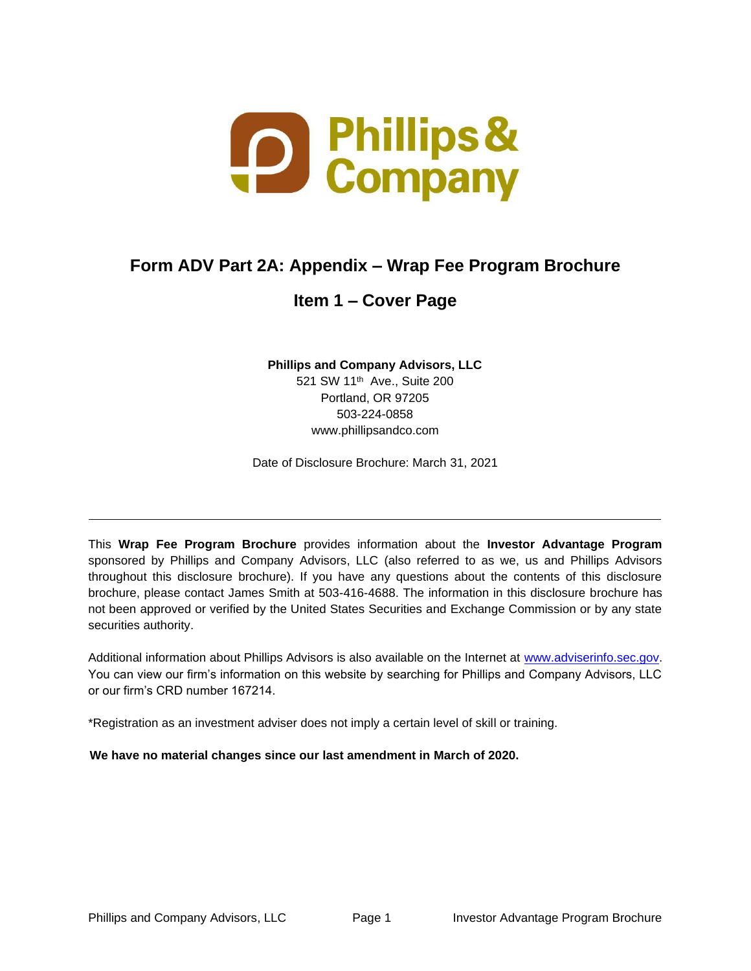

# **Form ADV Part 2A: Appendix – Wrap Fee Program Brochure**

# **Item 1 – Cover Page**

**Phillips and Company Advisors, LLC**

521 SW 11th Ave., Suite 200 Portland, OR 97205 503-224-0858 [www.phillipsandco.com](http://www.phillipsandco.com/)

<span id="page-0-1"></span>Date of Disclosure Brochure: March 31, 2021

This **Wrap Fee Program Brochure** provides information about the **Investor Advantage Program**  sponsored by Phillips and Company Advisors, LLC (also referred to as we, us and Phillips Advisors throughout this disclosure brochure). If you have any questions about the contents of this disclosure brochure, please contact James Smith at 503-416-4688. The information in this disclosure brochure has not been approved or verified by the United States Securities and Exchange Commission or by any state securities authority.

Additional information about Phillips Advisors is also available on the Internet at [www.adviserinfo.sec.gov.](http://www.adviserinfo.sec.gov/) You can view our firm's information on this website by searching for Phillips and Company Advisors, LLC or our firm's CRD number 167214.

\*Registration as an investment adviser does not imply a certain level of skill or training.

<span id="page-0-0"></span>**We have no material changes since our last amendment in March of 2020.**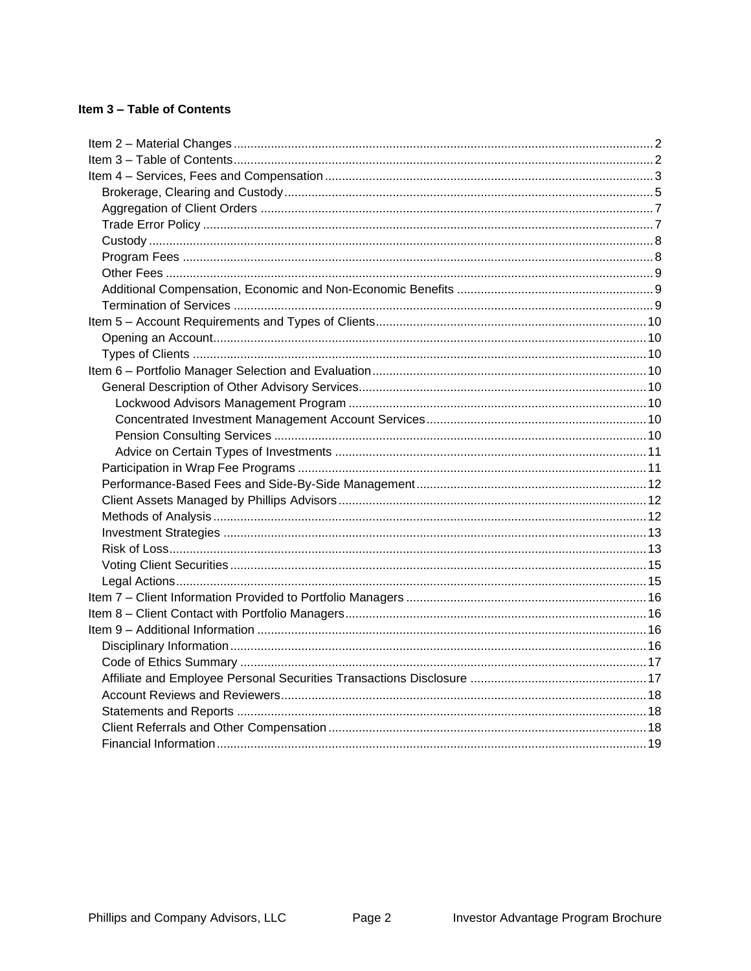# Item 3 - Table of Contents

<span id="page-1-0"></span>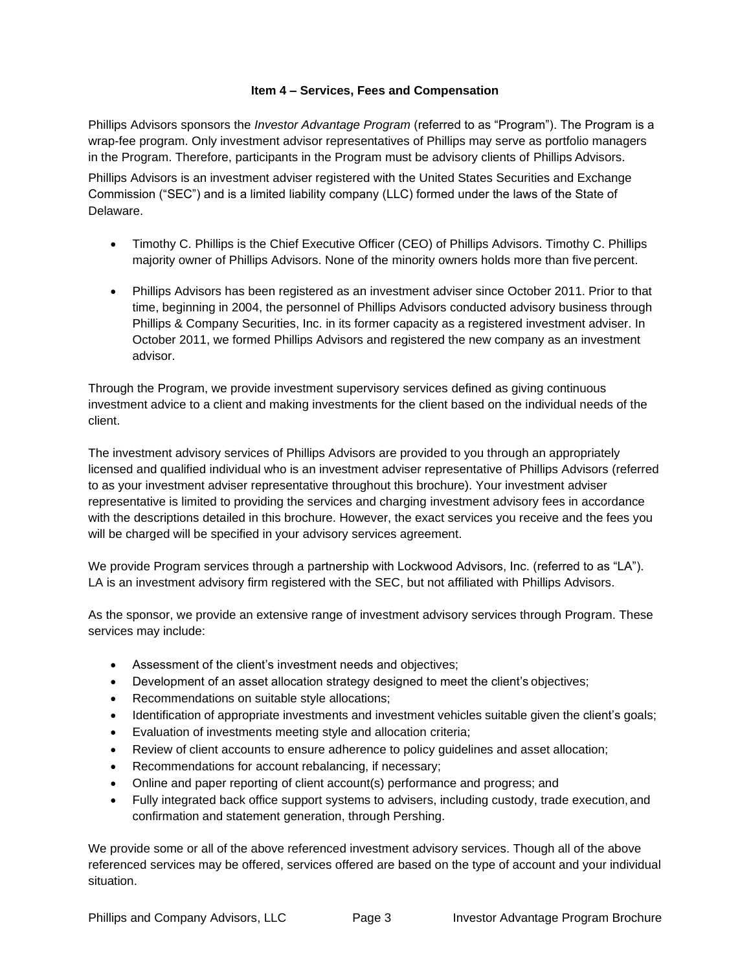## **Item 4 – Services, Fees and Compensation**

Phillips Advisors sponsors the *Investor Advantage Program* (referred to as "Program"). The Program is a wrap-fee program. Only investment advisor representatives of Phillips may serve as portfolio managers in the Program. Therefore, participants in the Program must be advisory clients of Phillips Advisors. Phillips Advisors is an investment adviser registered with the United States Securities and Exchange Commission ("SEC") and is a limited liability company (LLC) formed under the laws of the State of Delaware.

- Timothy C. Phillips is the Chief Executive Officer (CEO) of Phillips Advisors. Timothy C. Phillips majority owner of Phillips Advisors. None of the minority owners holds more than five percent.
- Phillips Advisors has been registered as an investment adviser since October 2011. Prior to that time, beginning in 2004, the personnel of Phillips Advisors conducted advisory business through Phillips & Company Securities, Inc. in its former capacity as a registered investment adviser. In October 2011, we formed Phillips Advisors and registered the new company as an investment advisor.

Through the Program, we provide investment supervisory services defined as giving continuous investment advice to a client and making investments for the client based on the individual needs of the client.

The investment advisory services of Phillips Advisors are provided to you through an appropriately licensed and qualified individual who is an investment adviser representative of Phillips Advisors (referred to as your investment adviser representative throughout this brochure). Your investment adviser representative is limited to providing the services and charging investment advisory fees in accordance with the descriptions detailed in this brochure. However, the exact services you receive and the fees you will be charged will be specified in your advisory services agreement.

We provide Program services through a partnership with Lockwood Advisors, Inc. (referred to as "LA"). LA is an investment advisory firm registered with the SEC, but not affiliated with Phillips Advisors.

As the sponsor, we provide an extensive range of investment advisory services through Program. These services may include:

- Assessment of the client's investment needs and objectives;
- Development of an asset allocation strategy designed to meet the client's objectives;
- Recommendations on suitable style allocations;
- Identification of appropriate investments and investment vehicles suitable given the client's goals;
- Evaluation of investments meeting style and allocation criteria;
- Review of client accounts to ensure adherence to policy guidelines and asset allocation;
- Recommendations for account rebalancing, if necessary;
- Online and paper reporting of client account(s) performance and progress; and
- Fully integrated back office support systems to advisers, including custody, trade execution, and confirmation and statement generation, through Pershing.

We provide some or all of the above referenced investment advisory services. Though all of the above referenced services may be offered, services offered are based on the type of account and your individual situation.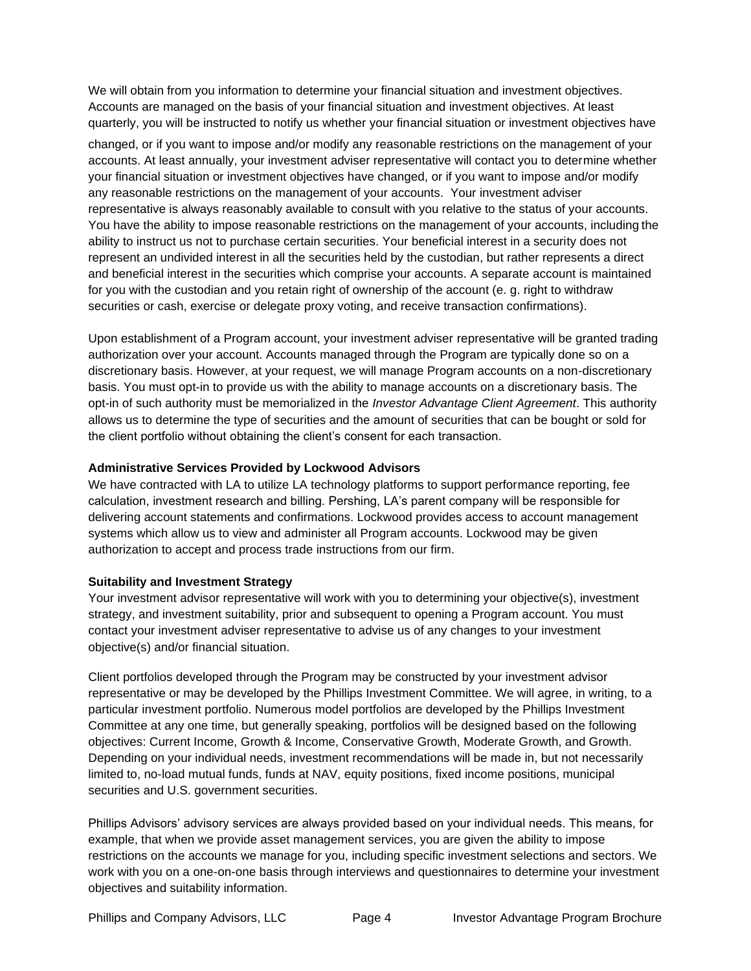We will obtain from you information to determine your financial situation and investment objectives. Accounts are managed on the basis of your financial situation and investment objectives. At least quarterly, you will be instructed to notify us whether your financial situation or investment objectives have

changed, or if you want to impose and/or modify any reasonable restrictions on the management of your accounts. At least annually, your investment adviser representative will contact you to determine whether your financial situation or investment objectives have changed, or if you want to impose and/or modify any reasonable restrictions on the management of your accounts. Your investment adviser representative is always reasonably available to consult with you relative to the status of your accounts. You have the ability to impose reasonable restrictions on the management of your accounts, including the ability to instruct us not to purchase certain securities. Your beneficial interest in a security does not represent an undivided interest in all the securities held by the custodian, but rather represents a direct and beneficial interest in the securities which comprise your accounts. A separate account is maintained for you with the custodian and you retain right of ownership of the account (e. g. right to withdraw securities or cash, exercise or delegate proxy voting, and receive transaction confirmations).

Upon establishment of a Program account, your investment adviser representative will be granted trading authorization over your account. Accounts managed through the Program are typically done so on a discretionary basis. However, at your request, we will manage Program accounts on a non-discretionary basis. You must opt-in to provide us with the ability to manage accounts on a discretionary basis. The opt-in of such authority must be memorialized in the *Investor Advantage Client Agreement*. This authority allows us to determine the type of securities and the amount of securities that can be bought or sold for the client portfolio without obtaining the client's consent for each transaction.

## **Administrative Services Provided by Lockwood Advisors**

We have contracted with LA to utilize LA technology platforms to support performance reporting, fee calculation, investment research and billing. Pershing, LA's parent company will be responsible for delivering account statements and confirmations. Lockwood provides access to account management systems which allow us to view and administer all Program accounts. Lockwood may be given authorization to accept and process trade instructions from our firm.

#### **Suitability and Investment Strategy**

Your investment advisor representative will work with you to determining your objective(s), investment strategy, and investment suitability, prior and subsequent to opening a Program account. You must contact your investment adviser representative to advise us of any changes to your investment objective(s) and/or financial situation.

Client portfolios developed through the Program may be constructed by your investment advisor representative or may be developed by the Phillips Investment Committee. We will agree, in writing, to a particular investment portfolio. Numerous model portfolios are developed by the Phillips Investment Committee at any one time, but generally speaking, portfolios will be designed based on the following objectives: Current Income, Growth & Income, Conservative Growth, Moderate Growth, and Growth. Depending on your individual needs, investment recommendations will be made in, but not necessarily limited to, no-load mutual funds, funds at NAV, equity positions, fixed income positions, municipal securities and U.S. government securities.

Phillips Advisors' advisory services are always provided based on your individual needs. This means, for example, that when we provide asset management services, you are given the ability to impose restrictions on the accounts we manage for you, including specific investment selections and sectors. We work with you on a one-on-one basis through interviews and questionnaires to determine your investment objectives and suitability information.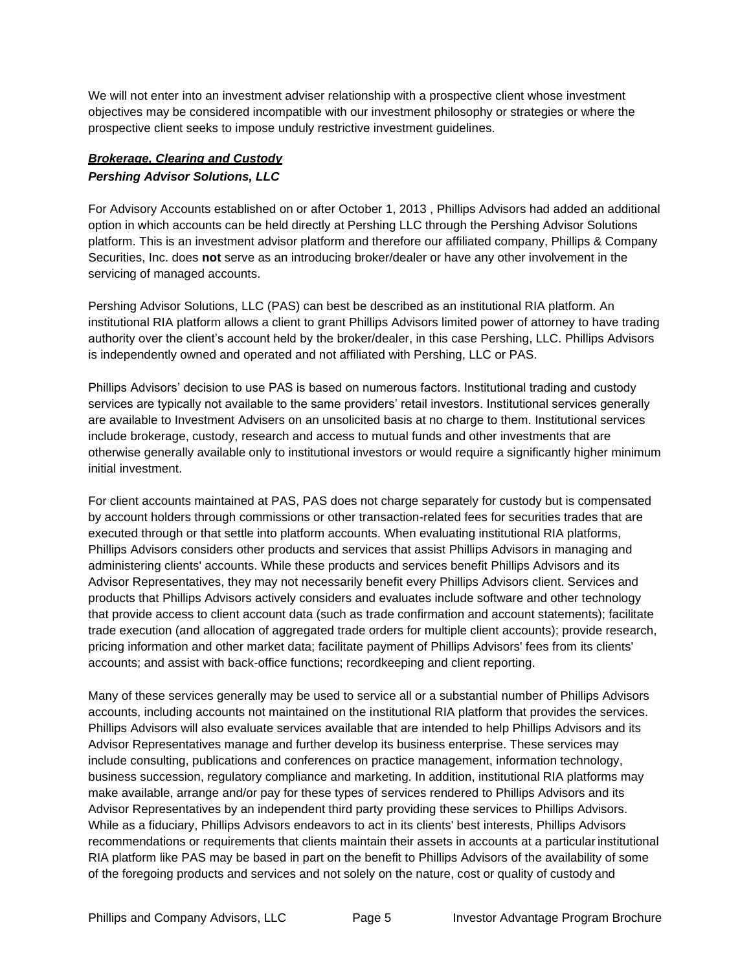We will not enter into an investment adviser relationship with a prospective client whose investment objectives may be considered incompatible with our investment philosophy or strategies or where the prospective client seeks to impose unduly restrictive investment guidelines.

# <span id="page-4-0"></span>*Brokerage, Clearing and Custody Pershing Advisor Solutions, LLC*

For Advisory Accounts established on or after October 1, 2013 , Phillips Advisors had added an additional option in which accounts can be held directly at Pershing LLC through the Pershing Advisor Solutions platform. This is an investment advisor platform and therefore our affiliated company, Phillips & Company Securities, Inc. does **not** serve as an introducing broker/dealer or have any other involvement in the servicing of managed accounts.

Pershing Advisor Solutions, LLC (PAS) can best be described as an institutional RIA platform. An institutional RIA platform allows a client to grant Phillips Advisors limited power of attorney to have trading authority over the client's account held by the broker/dealer, in this case Pershing, LLC. Phillips Advisors is independently owned and operated and not affiliated with Pershing, LLC or PAS.

Phillips Advisors' decision to use PAS is based on numerous factors. Institutional trading and custody services are typically not available to the same providers' retail investors. Institutional services generally are available to Investment Advisers on an unsolicited basis at no charge to them. Institutional services include brokerage, custody, research and access to mutual funds and other investments that are otherwise generally available only to institutional investors or would require a significantly higher minimum initial investment.

For client accounts maintained at PAS, PAS does not charge separately for custody but is compensated by account holders through commissions or other transaction-related fees for securities trades that are executed through or that settle into platform accounts. When evaluating institutional RIA platforms, Phillips Advisors considers other products and services that assist Phillips Advisors in managing and administering clients' accounts. While these products and services benefit Phillips Advisors and its Advisor Representatives, they may not necessarily benefit every Phillips Advisors client. Services and products that Phillips Advisors actively considers and evaluates include software and other technology that provide access to client account data (such as trade confirmation and account statements); facilitate trade execution (and allocation of aggregated trade orders for multiple client accounts); provide research, pricing information and other market data; facilitate payment of Phillips Advisors' fees from its clients' accounts; and assist with back-office functions; recordkeeping and client reporting.

Many of these services generally may be used to service all or a substantial number of Phillips Advisors accounts, including accounts not maintained on the institutional RIA platform that provides the services. Phillips Advisors will also evaluate services available that are intended to help Phillips Advisors and its Advisor Representatives manage and further develop its business enterprise. These services may include consulting, publications and conferences on practice management, information technology, business succession, regulatory compliance and marketing. In addition, institutional RIA platforms may make available, arrange and/or pay for these types of services rendered to Phillips Advisors and its Advisor Representatives by an independent third party providing these services to Phillips Advisors. While as a fiduciary, Phillips Advisors endeavors to act in its clients' best interests, Phillips Advisors recommendations or requirements that clients maintain their assets in accounts at a particular institutional RIA platform like PAS may be based in part on the benefit to Phillips Advisors of the availability of some of the foregoing products and services and not solely on the nature, cost or quality of custody and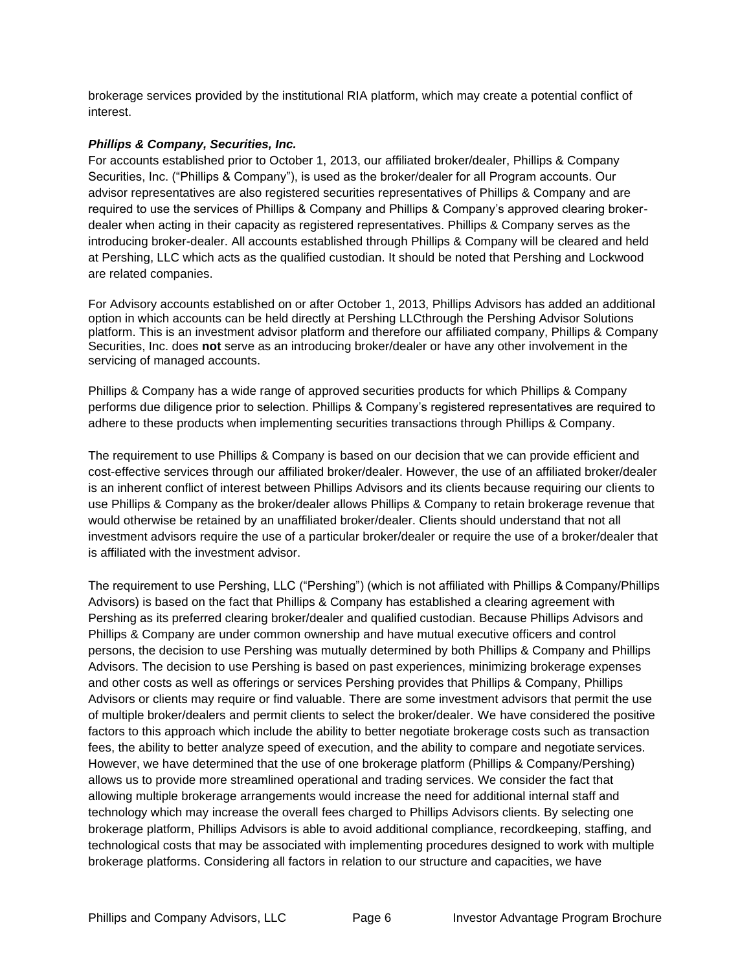brokerage services provided by the institutional RIA platform, which may create a potential conflict of interest.

#### *Phillips & Company, Securities, Inc.*

For accounts established prior to October 1, 2013, our affiliated broker/dealer, Phillips & Company Securities, Inc. ("Phillips & Company"), is used as the broker/dealer for all Program accounts. Our advisor representatives are also registered securities representatives of Phillips & Company and are required to use the services of Phillips & Company and Phillips & Company's approved clearing brokerdealer when acting in their capacity as registered representatives. Phillips & Company serves as the introducing broker-dealer. All accounts established through Phillips & Company will be cleared and held at Pershing, LLC which acts as the qualified custodian. It should be noted that Pershing and Lockwood are related companies.

For Advisory accounts established on or after October 1, 2013, Phillips Advisors has added an additional option in which accounts can be held directly at Pershing LLCthrough the Pershing Advisor Solutions platform. This is an investment advisor platform and therefore our affiliated company, Phillips & Company Securities, Inc. does **not** serve as an introducing broker/dealer or have any other involvement in the servicing of managed accounts.

Phillips & Company has a wide range of approved securities products for which Phillips & Company performs due diligence prior to selection. Phillips & Company's registered representatives are required to adhere to these products when implementing securities transactions through Phillips & Company.

The requirement to use Phillips & Company is based on our decision that we can provide efficient and cost-effective services through our affiliated broker/dealer. However, the use of an affiliated broker/dealer is an inherent conflict of interest between Phillips Advisors and its clients because requiring our clients to use Phillips & Company as the broker/dealer allows Phillips & Company to retain brokerage revenue that would otherwise be retained by an unaffiliated broker/dealer. Clients should understand that not all investment advisors require the use of a particular broker/dealer or require the use of a broker/dealer that is affiliated with the investment advisor.

The requirement to use Pershing, LLC ("Pershing") (which is not affiliated with Phillips & Company/Phillips Advisors) is based on the fact that Phillips & Company has established a clearing agreement with Pershing as its preferred clearing broker/dealer and qualified custodian. Because Phillips Advisors and Phillips & Company are under common ownership and have mutual executive officers and control persons, the decision to use Pershing was mutually determined by both Phillips & Company and Phillips Advisors. The decision to use Pershing is based on past experiences, minimizing brokerage expenses and other costs as well as offerings or services Pershing provides that Phillips & Company, Phillips Advisors or clients may require or find valuable. There are some investment advisors that permit the use of multiple broker/dealers and permit clients to select the broker/dealer. We have considered the positive factors to this approach which include the ability to better negotiate brokerage costs such as transaction fees, the ability to better analyze speed of execution, and the ability to compare and negotiate services. However, we have determined that the use of one brokerage platform (Phillips & Company/Pershing) allows us to provide more streamlined operational and trading services. We consider the fact that allowing multiple brokerage arrangements would increase the need for additional internal staff and technology which may increase the overall fees charged to Phillips Advisors clients. By selecting one brokerage platform, Phillips Advisors is able to avoid additional compliance, recordkeeping, staffing, and technological costs that may be associated with implementing procedures designed to work with multiple brokerage platforms. Considering all factors in relation to our structure and capacities, we have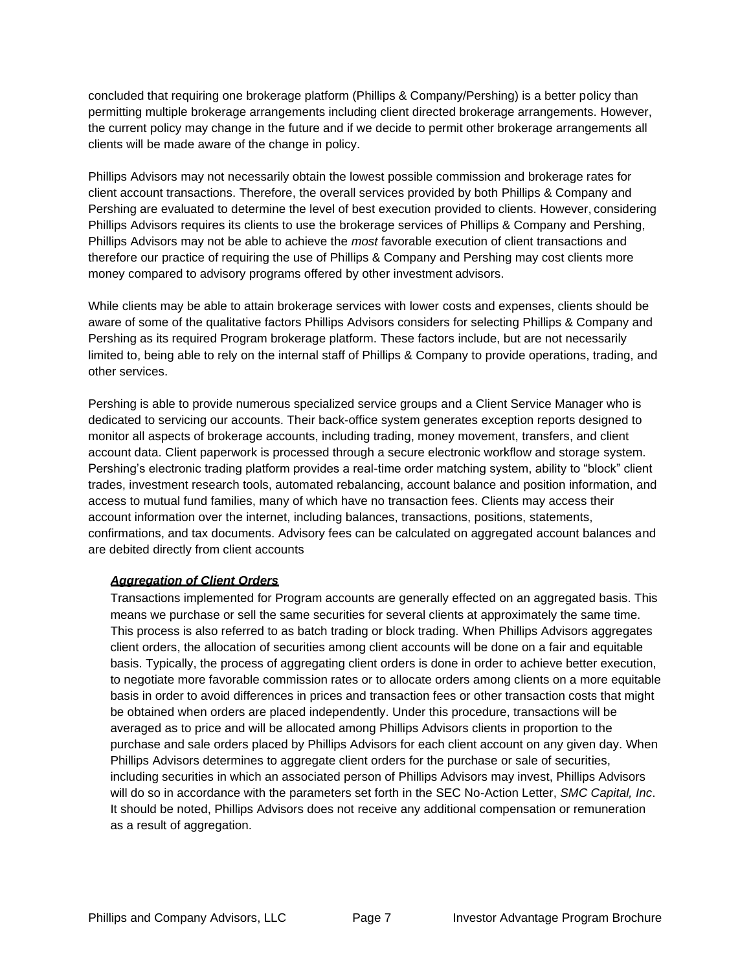concluded that requiring one brokerage platform (Phillips & Company/Pershing) is a better policy than permitting multiple brokerage arrangements including client directed brokerage arrangements. However, the current policy may change in the future and if we decide to permit other brokerage arrangements all clients will be made aware of the change in policy.

Phillips Advisors may not necessarily obtain the lowest possible commission and brokerage rates for client account transactions. Therefore, the overall services provided by both Phillips & Company and Pershing are evaluated to determine the level of best execution provided to clients. However, considering Phillips Advisors requires its clients to use the brokerage services of Phillips & Company and Pershing, Phillips Advisors may not be able to achieve the *most* favorable execution of client transactions and therefore our practice of requiring the use of Phillips & Company and Pershing may cost clients more money compared to advisory programs offered by other investment advisors.

While clients may be able to attain brokerage services with lower costs and expenses, clients should be aware of some of the qualitative factors Phillips Advisors considers for selecting Phillips & Company and Pershing as its required Program brokerage platform. These factors include, but are not necessarily limited to, being able to rely on the internal staff of Phillips & Company to provide operations, trading, and other services.

Pershing is able to provide numerous specialized service groups and a Client Service Manager who is dedicated to servicing our accounts. Their back-office system generates exception reports designed to monitor all aspects of brokerage accounts, including trading, money movement, transfers, and client account data. Client paperwork is processed through a secure electronic workflow and storage system. Pershing's electronic trading platform provides a real-time order matching system, ability to "block" client trades, investment research tools, automated rebalancing, account balance and position information, and access to mutual fund families, many of which have no transaction fees. Clients may access their account information over the internet, including balances, transactions, positions, statements, confirmations, and tax documents. Advisory fees can be calculated on aggregated account balances and are debited directly from client accounts

## <span id="page-6-0"></span>*Aggregation of Client Orders*

Transactions implemented for Program accounts are generally effected on an aggregated basis. This means we purchase or sell the same securities for several clients at approximately the same time. This process is also referred to as batch trading or block trading. When Phillips Advisors aggregates client orders, the allocation of securities among client accounts will be done on a fair and equitable basis. Typically, the process of aggregating client orders is done in order to achieve better execution, to negotiate more favorable commission rates or to allocate orders among clients on a more equitable basis in order to avoid differences in prices and transaction fees or other transaction costs that might be obtained when orders are placed independently. Under this procedure, transactions will be averaged as to price and will be allocated among Phillips Advisors clients in proportion to the purchase and sale orders placed by Phillips Advisors for each client account on any given day. When Phillips Advisors determines to aggregate client orders for the purchase or sale of securities, including securities in which an associated person of Phillips Advisors may invest, Phillips Advisors will do so in accordance with the parameters set forth in the SEC No-Action Letter, *SMC Capital, Inc*. It should be noted, Phillips Advisors does not receive any additional compensation or remuneration as a result of aggregation.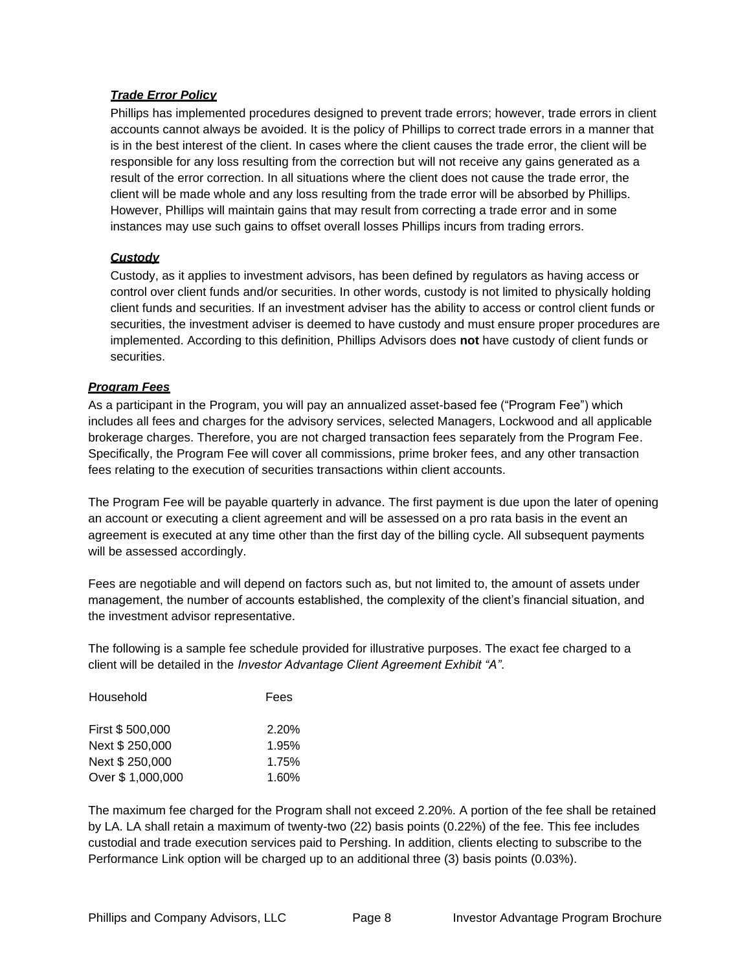## <span id="page-7-0"></span>*Trade Error Policy*

Phillips has implemented procedures designed to prevent trade errors; however, trade errors in client accounts cannot always be avoided. It is the policy of Phillips to correct trade errors in a manner that is in the best interest of the client. In cases where the client causes the trade error, the client will be responsible for any loss resulting from the correction but will not receive any gains generated as a result of the error correction. In all situations where the client does not cause the trade error, the client will be made whole and any loss resulting from the trade error will be absorbed by Phillips. However, Phillips will maintain gains that may result from correcting a trade error and in some instances may use such gains to offset overall losses Phillips incurs from trading errors.

# <span id="page-7-1"></span>*Custody*

Custody, as it applies to investment advisors, has been defined by regulators as having access or control over client funds and/or securities. In other words, custody is not limited to physically holding client funds and securities. If an investment adviser has the ability to access or control client funds or securities, the investment adviser is deemed to have custody and must ensure proper procedures are implemented. According to this definition, Phillips Advisors does **not** have custody of client funds or securities.

# <span id="page-7-2"></span>*Program Fees*

As a participant in the Program, you will pay an annualized asset-based fee ("Program Fee") which includes all fees and charges for the advisory services, selected Managers, Lockwood and all applicable brokerage charges. Therefore, you are not charged transaction fees separately from the Program Fee. Specifically, the Program Fee will cover all commissions, prime broker fees, and any other transaction fees relating to the execution of securities transactions within client accounts.

The Program Fee will be payable quarterly in advance. The first payment is due upon the later of opening an account or executing a client agreement and will be assessed on a pro rata basis in the event an agreement is executed at any time other than the first day of the billing cycle. All subsequent payments will be assessed accordingly.

Fees are negotiable and will depend on factors such as, but not limited to, the amount of assets under management, the number of accounts established, the complexity of the client's financial situation, and the investment advisor representative.

The following is a sample fee schedule provided for illustrative purposes. The exact fee charged to a client will be detailed in the *Investor Advantage Client Agreement Exhibit "A"*.

| Fees           |
|----------------|
| 2.20%          |
| 1.95%          |
| 1.75%<br>1.60% |
|                |

The maximum fee charged for the Program shall not exceed 2.20%. A portion of the fee shall be retained by LA. LA shall retain a maximum of twenty-two (22) basis points (0.22%) of the fee. This fee includes custodial and trade execution services paid to Pershing. In addition, clients electing to subscribe to the Performance Link option will be charged up to an additional three (3) basis points (0.03%).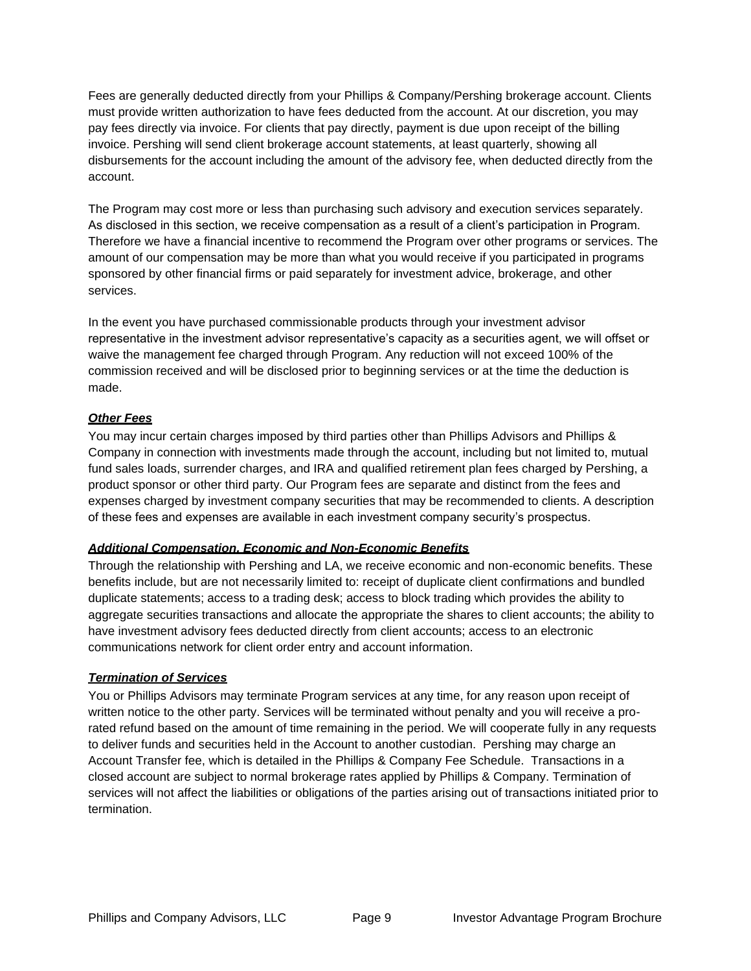Fees are generally deducted directly from your Phillips & Company/Pershing brokerage account. Clients must provide written authorization to have fees deducted from the account. At our discretion, you may pay fees directly via invoice. For clients that pay directly, payment is due upon receipt of the billing invoice. Pershing will send client brokerage account statements, at least quarterly, showing all disbursements for the account including the amount of the advisory fee, when deducted directly from the account.

The Program may cost more or less than purchasing such advisory and execution services separately. As disclosed in this section, we receive compensation as a result of a client's participation in Program. Therefore we have a financial incentive to recommend the Program over other programs or services. The amount of our compensation may be more than what you would receive if you participated in programs sponsored by other financial firms or paid separately for investment advice, brokerage, and other services.

In the event you have purchased commissionable products through your investment advisor representative in the investment advisor representative's capacity as a securities agent, we will offset or waive the management fee charged through Program. Any reduction will not exceed 100% of the commission received and will be disclosed prior to beginning services or at the time the deduction is made.

# <span id="page-8-0"></span>*Other Fees*

You may incur certain charges imposed by third parties other than Phillips Advisors and Phillips & Company in connection with investments made through the account, including but not limited to, mutual fund sales loads, surrender charges, and IRA and qualified retirement plan fees charged by Pershing, a product sponsor or other third party. Our Program fees are separate and distinct from the fees and expenses charged by investment company securities that may be recommended to clients. A description of these fees and expenses are available in each investment company security's prospectus.

## <span id="page-8-1"></span>*Additional Compensation, Economic and Non-Economic Benefits*

Through the relationship with Pershing and LA, we receive economic and non-economic benefits. These benefits include, but are not necessarily limited to: receipt of duplicate client confirmations and bundled duplicate statements; access to a trading desk; access to block trading which provides the ability to aggregate securities transactions and allocate the appropriate the shares to client accounts; the ability to have investment advisory fees deducted directly from client accounts; access to an electronic communications network for client order entry and account information.

## <span id="page-8-2"></span>*Termination of Services*

You or Phillips Advisors may terminate Program services at any time, for any reason upon receipt of written notice to the other party. Services will be terminated without penalty and you will receive a prorated refund based on the amount of time remaining in the period. We will cooperate fully in any requests to deliver funds and securities held in the Account to another custodian. Pershing may charge an Account Transfer fee, which is detailed in the Phillips & Company Fee Schedule. Transactions in a closed account are subject to normal brokerage rates applied by Phillips & Company. Termination of services will not affect the liabilities or obligations of the parties arising out of transactions initiated prior to termination.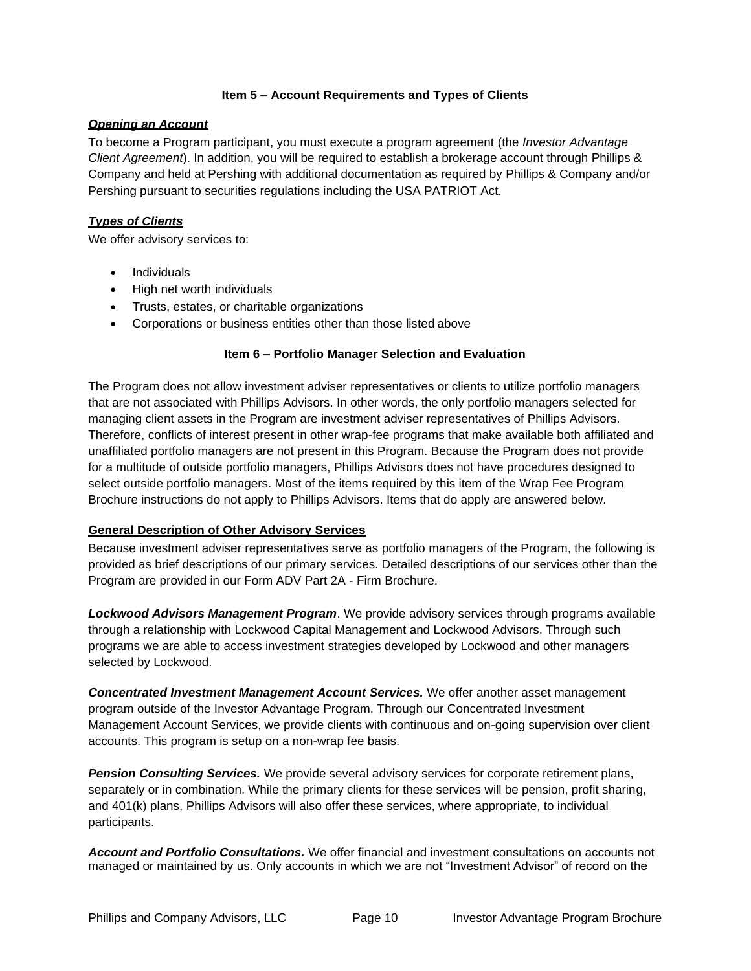## **Item 5 – Account Requirements and Types of Clients**

## <span id="page-9-1"></span><span id="page-9-0"></span>*Opening an Account*

To become a Program participant, you must execute a program agreement (the *Investor Advantage Client Agreement*). In addition, you will be required to establish a brokerage account through Phillips & Company and held at Pershing with additional documentation as required by Phillips & Company and/or Pershing pursuant to securities regulations including the USA PATRIOT Act.

## <span id="page-9-2"></span>*Types of Clients*

We offer advisory services to:

- Individuals
- High net worth individuals
- Trusts, estates, or charitable organizations
- Corporations or business entities other than those listed above

## **Item 6 – Portfolio Manager Selection and Evaluation**

<span id="page-9-3"></span>The Program does not allow investment adviser representatives or clients to utilize portfolio managers that are not associated with Phillips Advisors. In other words, the only portfolio managers selected for managing client assets in the Program are investment adviser representatives of Phillips Advisors. Therefore, conflicts of interest present in other wrap-fee programs that make available both affiliated and unaffiliated portfolio managers are not present in this Program. Because the Program does not provide for a multitude of outside portfolio managers, Phillips Advisors does not have procedures designed to select outside portfolio managers. Most of the items required by this item of the Wrap Fee Program Brochure instructions do not apply to Phillips Advisors. Items that do apply are answered below.

## <span id="page-9-4"></span>**General Description of Other Advisory Services**

Because investment adviser representatives serve as portfolio managers of the Program, the following is provided as brief descriptions of our primary services. Detailed descriptions of our services other than the Program are provided in our Form ADV Part 2A - Firm Brochure.

<span id="page-9-5"></span>*Lockwood Advisors Management Program*. We provide advisory services through programs available through a relationship with Lockwood Capital Management and Lockwood Advisors. Through such programs we are able to access investment strategies developed by Lockwood and other managers selected by Lockwood.

<span id="page-9-6"></span>*Concentrated Investment Management Account Services.* We offer another asset management program outside of the Investor Advantage Program. Through our Concentrated Investment Management Account Services, we provide clients with continuous and on-going supervision over client accounts. This program is setup on a non-wrap fee basis.

<span id="page-9-7"></span>*Pension Consulting Services.* We provide several advisory services for corporate retirement plans, separately or in combination. While the primary clients for these services will be pension, profit sharing, and 401(k) plans, Phillips Advisors will also offer these services, where appropriate, to individual participants.

*Account and Portfolio Consultations.* We offer financial and investment consultations on accounts not managed or maintained by us. Only accounts in which we are not "Investment Advisor" of record on the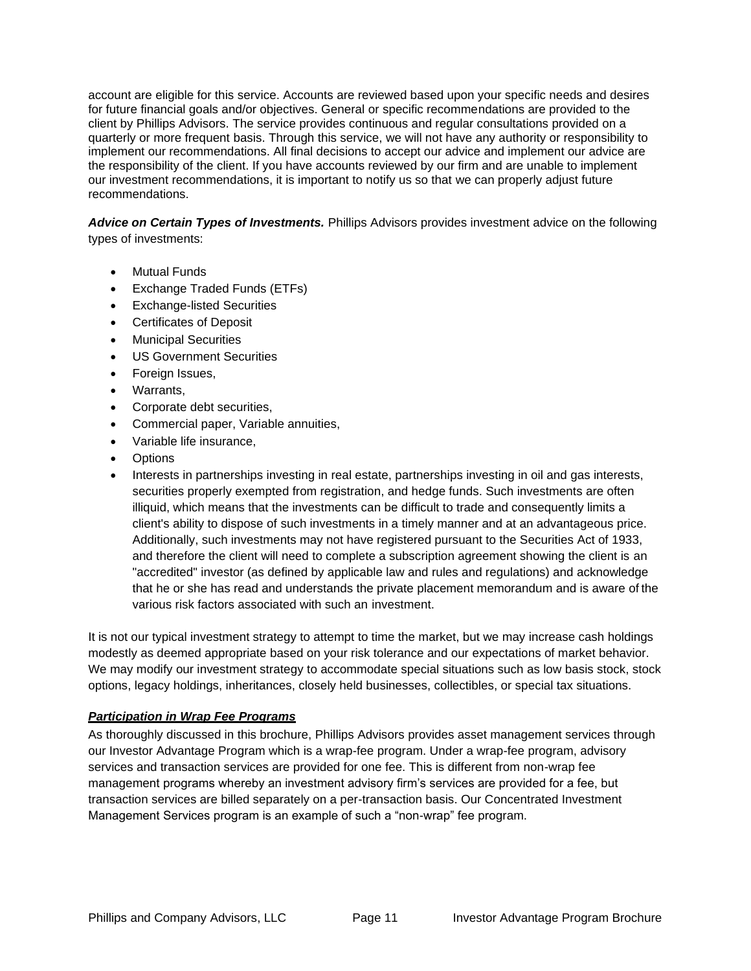account are eligible for this service. Accounts are reviewed based upon your specific needs and desires for future financial goals and/or objectives. General or specific recommendations are provided to the client by Phillips Advisors. The service provides continuous and regular consultations provided on a quarterly or more frequent basis. Through this service, we will not have any authority or responsibility to implement our recommendations. All final decisions to accept our advice and implement our advice are the responsibility of the client. If you have accounts reviewed by our firm and are unable to implement our investment recommendations, it is important to notify us so that we can properly adjust future recommendations.

<span id="page-10-0"></span>*Advice on Certain Types of Investments.* Phillips Advisors provides investment advice on the following types of investments:

- **Mutual Funds**
- Exchange Traded Funds (ETFs)
- Exchange-listed Securities
- Certificates of Deposit
- Municipal Securities
- US Government Securities
- Foreign Issues,
- Warrants,
- Corporate debt securities,
- Commercial paper, Variable annuities,
- Variable life insurance,
- **Options**
- Interests in partnerships investing in real estate, partnerships investing in oil and gas interests, securities properly exempted from registration, and hedge funds. Such investments are often illiquid, which means that the investments can be difficult to trade and consequently limits a client's ability to dispose of such investments in a timely manner and at an advantageous price. Additionally, such investments may not have registered pursuant to the Securities Act of 1933, and therefore the client will need to complete a subscription agreement showing the client is an "accredited" investor (as defined by applicable law and rules and regulations) and acknowledge that he or she has read and understands the private placement memorandum and is aware of the various risk factors associated with such an investment.

It is not our typical investment strategy to attempt to time the market, but we may increase cash holdings modestly as deemed appropriate based on your risk tolerance and our expectations of market behavior. We may modify our investment strategy to accommodate special situations such as low basis stock, stock options, legacy holdings, inheritances, closely held businesses, collectibles, or special tax situations.

# <span id="page-10-1"></span>*Participation in Wrap Fee Programs*

As thoroughly discussed in this brochure, Phillips Advisors provides asset management services through our Investor Advantage Program which is a wrap-fee program. Under a wrap-fee program, advisory services and transaction services are provided for one fee. This is different from non-wrap fee management programs whereby an investment advisory firm's services are provided for a fee, but transaction services are billed separately on a per-transaction basis. Our Concentrated Investment Management Services program is an example of such a "non-wrap" fee program.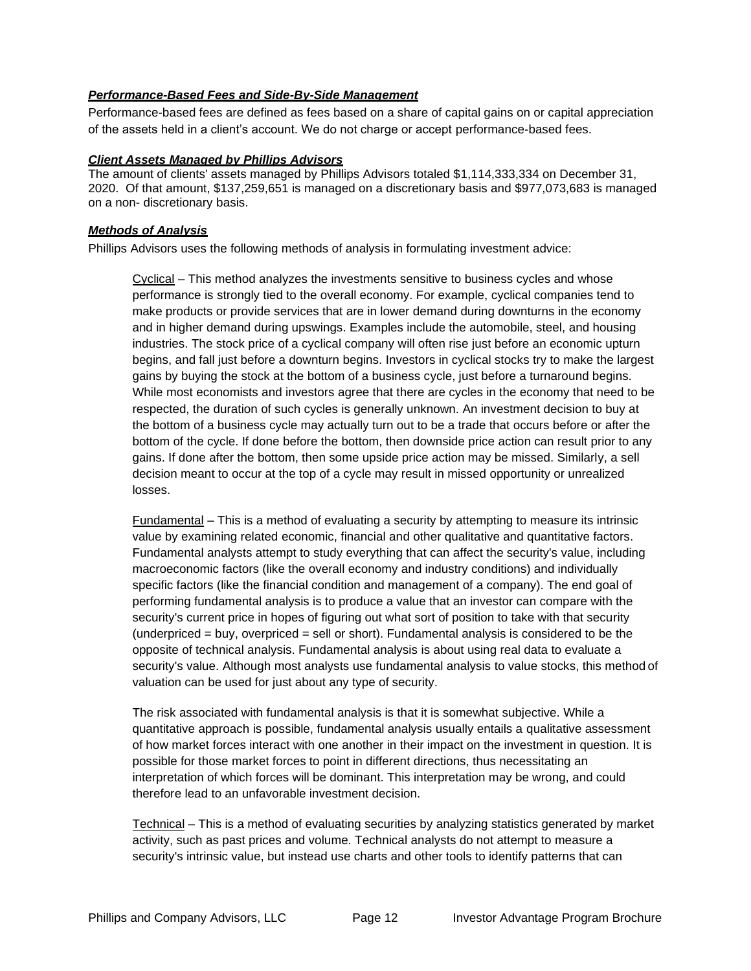## <span id="page-11-0"></span>*Performance-Based Fees and Side-By-Side Management*

Performance-based fees are defined as fees based on a share of capital gains on or capital appreciation of the assets held in a client's account. We do not charge or accept performance-based fees.

#### <span id="page-11-1"></span>*Client Assets Managed by Phillips Advisors*

The amount of clients' assets managed by Phillips Advisors totaled \$1,114,333,334 on December 31, 2020. Of that amount, \$137,259,651 is managed on a discretionary basis and \$977,073,683 is managed on a non- discretionary basis.

#### <span id="page-11-2"></span>*Methods of Analysis*

Phillips Advisors uses the following methods of analysis in formulating investment advice:

Cyclical – This method analyzes the investments sensitive to business cycles and whose performance is strongly tied to the overall economy. For example, cyclical companies tend to make products or provide services that are in lower demand during downturns in the economy and in higher demand during upswings. Examples include the automobile, steel, and housing industries. The stock price of a cyclical company will often rise just before an economic upturn begins, and fall just before a downturn begins. Investors in cyclical stocks try to make the largest gains by buying the stock at the bottom of a business cycle, just before a turnaround begins. While most economists and investors agree that there are cycles in the economy that need to be respected, the duration of such cycles is generally unknown. An investment decision to buy at the bottom of a business cycle may actually turn out to be a trade that occurs before or after the bottom of the cycle. If done before the bottom, then downside price action can result prior to any gains. If done after the bottom, then some upside price action may be missed. Similarly, a sell decision meant to occur at the top of a cycle may result in missed opportunity or unrealized losses.

Fundamental – This is a method of evaluating a security by attempting to measure its intrinsic value by examining related economic, financial and other qualitative and quantitative factors. Fundamental analysts attempt to study everything that can affect the security's value, including macroeconomic factors (like the overall economy and industry conditions) and individually specific factors (like the financial condition and management of a company). The end goal of performing fundamental analysis is to produce a value that an investor can compare with the security's current price in hopes of figuring out what sort of position to take with that security (underpriced = buy, overpriced = sell or short). Fundamental analysis is considered to be the opposite of technical analysis. Fundamental analysis is about using real data to evaluate a security's value. Although most analysts use fundamental analysis to value stocks, this method of valuation can be used for just about any type of security.

The risk associated with fundamental analysis is that it is somewhat subjective. While a quantitative approach is possible, fundamental analysis usually entails a qualitative assessment of how market forces interact with one another in their impact on the investment in question. It is possible for those market forces to point in different directions, thus necessitating an interpretation of which forces will be dominant. This interpretation may be wrong, and could therefore lead to an unfavorable investment decision.

Technical – This is a method of evaluating securities by analyzing statistics generated by market activity, such as past prices and volume. Technical analysts do not attempt to measure a security's intrinsic value, but instead use charts and other tools to identify patterns that can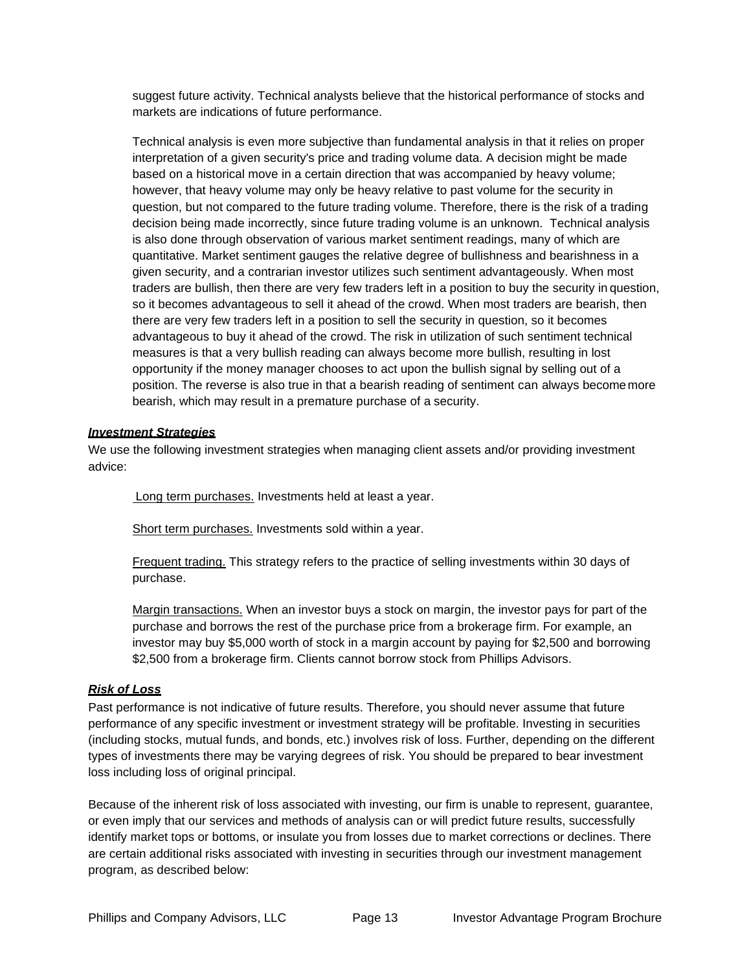suggest future activity. Technical analysts believe that the historical performance of stocks and markets are indications of future performance.

Technical analysis is even more subjective than fundamental analysis in that it relies on proper interpretation of a given security's price and trading volume data. A decision might be made based on a historical move in a certain direction that was accompanied by heavy volume; however, that heavy volume may only be heavy relative to past volume for the security in question, but not compared to the future trading volume. Therefore, there is the risk of a trading decision being made incorrectly, since future trading volume is an unknown. Technical analysis is also done through observation of various market sentiment readings, many of which are quantitative. Market sentiment gauges the relative degree of bullishness and bearishness in a given security, and a contrarian investor utilizes such sentiment advantageously. When most traders are bullish, then there are very few traders left in a position to buy the security in question, so it becomes advantageous to sell it ahead of the crowd. When most traders are bearish, then there are very few traders left in a position to sell the security in question, so it becomes advantageous to buy it ahead of the crowd. The risk in utilization of such sentiment technical measures is that a very bullish reading can always become more bullish, resulting in lost opportunity if the money manager chooses to act upon the bullish signal by selling out of a position. The reverse is also true in that a bearish reading of sentiment can always becomemore bearish, which may result in a premature purchase of a security.

#### <span id="page-12-0"></span>*Investment Strategies*

We use the following investment strategies when managing client assets and/or providing investment advice:

Long term purchases. Investments held at least a year.

Short term purchases. Investments sold within a year.

Frequent trading. This strategy refers to the practice of selling investments within 30 days of purchase.

Margin transactions. When an investor buys a stock on margin, the investor pays for part of the purchase and borrows the rest of the purchase price from a brokerage firm. For example, an investor may buy \$5,000 worth of stock in a margin account by paying for \$2,500 and borrowing \$2,500 from a brokerage firm. Clients cannot borrow stock from Phillips Advisors.

#### <span id="page-12-1"></span>*Risk of Loss*

Past performance is not indicative of future results. Therefore, you should never assume that future performance of any specific investment or investment strategy will be profitable. Investing in securities (including stocks, mutual funds, and bonds, etc.) involves risk of loss. Further, depending on the different types of investments there may be varying degrees of risk. You should be prepared to bear investment loss including loss of original principal.

Because of the inherent risk of loss associated with investing, our firm is unable to represent, guarantee, or even imply that our services and methods of analysis can or will predict future results, successfully identify market tops or bottoms, or insulate you from losses due to market corrections or declines. There are certain additional risks associated with investing in securities through our investment management program, as described below: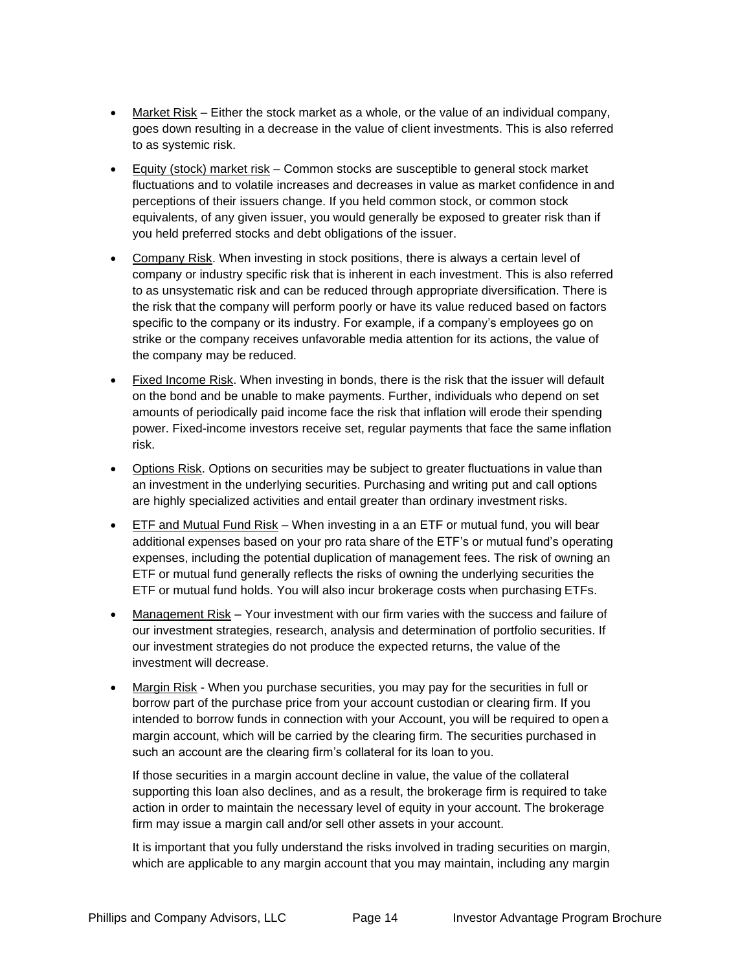- Market Risk Either the stock market as a whole, or the value of an individual company, goes down resulting in a decrease in the value of client investments. This is also referred to as systemic risk.
- Equity (stock) market risk Common stocks are susceptible to general stock market fluctuations and to volatile increases and decreases in value as market confidence in and perceptions of their issuers change. If you held common stock, or common stock equivalents, of any given issuer, you would generally be exposed to greater risk than if you held preferred stocks and debt obligations of the issuer.
- Company Risk. When investing in stock positions, there is always a certain level of company or industry specific risk that is inherent in each investment. This is also referred to as unsystematic risk and can be reduced through appropriate diversification. There is the risk that the company will perform poorly or have its value reduced based on factors specific to the company or its industry. For example, if a company's employees go on strike or the company receives unfavorable media attention for its actions, the value of the company may be reduced.
- Fixed Income Risk. When investing in bonds, there is the risk that the issuer will default on the bond and be unable to make payments. Further, individuals who depend on set amounts of periodically paid income face the risk that inflation will erode their spending power. Fixed-income investors receive set, regular payments that face the same inflation risk.
- Options Risk. Options on securities may be subject to greater fluctuations in value than an investment in the underlying securities. Purchasing and writing put and call options are highly specialized activities and entail greater than ordinary investment risks.
- ETF and Mutual Fund Risk When investing in a an ETF or mutual fund, you will bear additional expenses based on your pro rata share of the ETF's or mutual fund's operating expenses, including the potential duplication of management fees. The risk of owning an ETF or mutual fund generally reflects the risks of owning the underlying securities the ETF or mutual fund holds. You will also incur brokerage costs when purchasing ETFs.
- Management Risk Your investment with our firm varies with the success and failure of our investment strategies, research, analysis and determination of portfolio securities. If our investment strategies do not produce the expected returns, the value of the investment will decrease.
- Margin Risk When you purchase securities, you may pay for the securities in full or borrow part of the purchase price from your account custodian or clearing firm. If you intended to borrow funds in connection with your Account, you will be required to open a margin account, which will be carried by the clearing firm. The securities purchased in such an account are the clearing firm's collateral for its loan to you.

If those securities in a margin account decline in value, the value of the collateral supporting this loan also declines, and as a result, the brokerage firm is required to take action in order to maintain the necessary level of equity in your account. The brokerage firm may issue a margin call and/or sell other assets in your account.

It is important that you fully understand the risks involved in trading securities on margin, which are applicable to any margin account that you may maintain, including any margin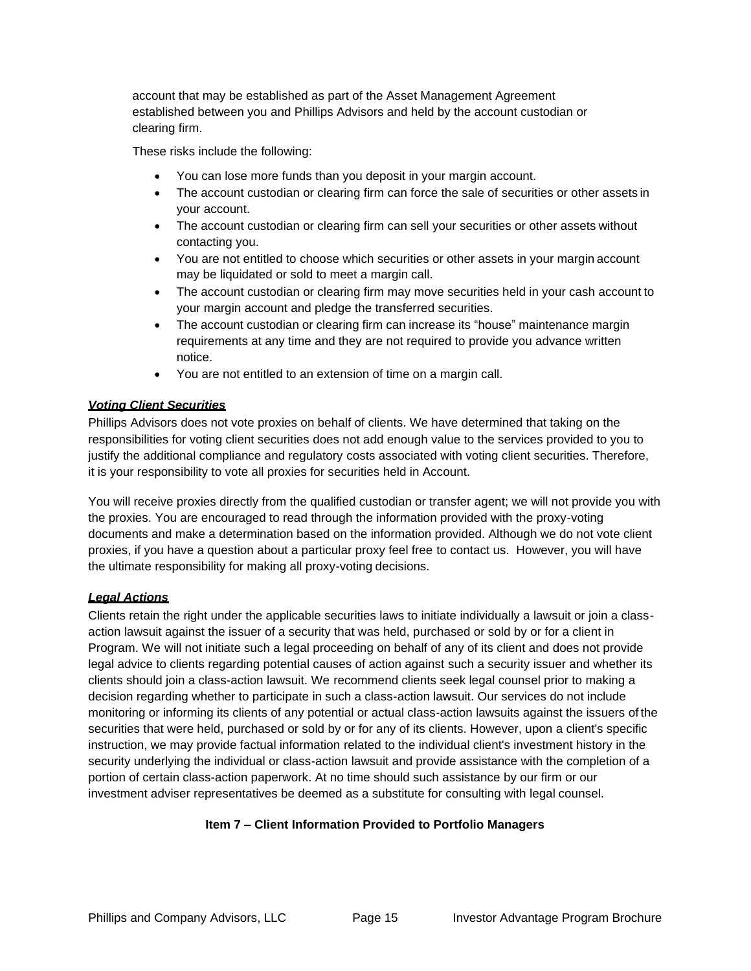account that may be established as part of the Asset Management Agreement established between you and Phillips Advisors and held by the account custodian or clearing firm.

These risks include the following:

- You can lose more funds than you deposit in your margin account.
- The account custodian or clearing firm can force the sale of securities or other assets in your account.
- The account custodian or clearing firm can sell your securities or other assets without contacting you.
- You are not entitled to choose which securities or other assets in your margin account may be liquidated or sold to meet a margin call.
- The account custodian or clearing firm may move securities held in your cash account to your margin account and pledge the transferred securities.
- The account custodian or clearing firm can increase its "house" maintenance margin requirements at any time and they are not required to provide you advance written notice.
- You are not entitled to an extension of time on a margin call.

## <span id="page-14-0"></span>*Voting Client Securities*

Phillips Advisors does not vote proxies on behalf of clients. We have determined that taking on the responsibilities for voting client securities does not add enough value to the services provided to you to justify the additional compliance and regulatory costs associated with voting client securities. Therefore, it is your responsibility to vote all proxies for securities held in Account.

You will receive proxies directly from the qualified custodian or transfer agent; we will not provide you with the proxies. You are encouraged to read through the information provided with the proxy-voting documents and make a determination based on the information provided. Although we do not vote client proxies, if you have a question about a particular proxy feel free to contact us. However, you will have the ultimate responsibility for making all proxy-voting decisions.

## <span id="page-14-1"></span>*Legal Actions*

Clients retain the right under the applicable securities laws to initiate individually a lawsuit or join a classaction lawsuit against the issuer of a security that was held, purchased or sold by or for a client in Program. We will not initiate such a legal proceeding on behalf of any of its client and does not provide legal advice to clients regarding potential causes of action against such a security issuer and whether its clients should join a class-action lawsuit. We recommend clients seek legal counsel prior to making a decision regarding whether to participate in such a class-action lawsuit. Our services do not include monitoring or informing its clients of any potential or actual class-action lawsuits against the issuers of the securities that were held, purchased or sold by or for any of its clients. However, upon a client's specific instruction, we may provide factual information related to the individual client's investment history in the security underlying the individual or class-action lawsuit and provide assistance with the completion of a portion of certain class-action paperwork. At no time should such assistance by our firm or our investment adviser representatives be deemed as a substitute for consulting with legal counsel.

## <span id="page-14-2"></span>**Item 7 – Client Information Provided to Portfolio Managers**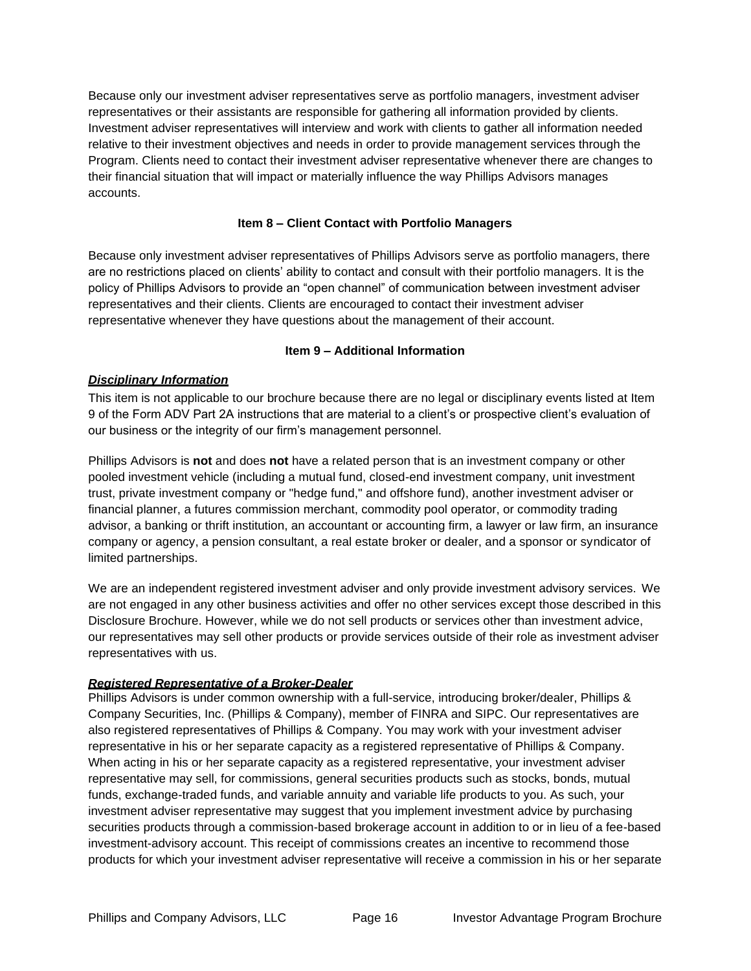Because only our investment adviser representatives serve as portfolio managers, investment adviser representatives or their assistants are responsible for gathering all information provided by clients. Investment adviser representatives will interview and work with clients to gather all information needed relative to their investment objectives and needs in order to provide management services through the Program. Clients need to contact their investment adviser representative whenever there are changes to their financial situation that will impact or materially influence the way Phillips Advisors manages accounts.

## **Item 8 – Client Contact with Portfolio Managers**

<span id="page-15-0"></span>Because only investment adviser representatives of Phillips Advisors serve as portfolio managers, there are no restrictions placed on clients' ability to contact and consult with their portfolio managers. It is the policy of Phillips Advisors to provide an "open channel" of communication between investment adviser representatives and their clients. Clients are encouraged to contact their investment adviser representative whenever they have questions about the management of their account.

## **Item 9 – Additional Information**

## <span id="page-15-2"></span><span id="page-15-1"></span>*Disciplinary Information*

This item is not applicable to our brochure because there are no legal or disciplinary events listed at Item 9 of the Form ADV Part 2A instructions that are material to a client's or prospective client's evaluation of our business or the integrity of our firm's management personnel.

Phillips Advisors is **not** and does **not** have a related person that is an investment company or other pooled investment vehicle (including a mutual fund, closed-end investment company, unit investment trust, private investment company or "hedge fund," and offshore fund), another investment adviser or financial planner, a futures commission merchant, commodity pool operator, or commodity trading advisor, a banking or thrift institution, an accountant or accounting firm, a lawyer or law firm, an insurance company or agency, a pension consultant, a real estate broker or dealer, and a sponsor or syndicator of limited partnerships.

We are an independent registered investment adviser and only provide investment advisory services. We are not engaged in any other business activities and offer no other services except those described in this Disclosure Brochure. However, while we do not sell products or services other than investment advice, our representatives may sell other products or provide services outside of their role as investment adviser representatives with us.

## *Registered Representative of a Broker-Dealer*

Phillips Advisors is under common ownership with a full-service, introducing broker/dealer, Phillips & Company Securities, Inc. (Phillips & Company), member of FINRA and SIPC. Our representatives are also registered representatives of Phillips & Company. You may work with your investment adviser representative in his or her separate capacity as a registered representative of Phillips & Company. When acting in his or her separate capacity as a registered representative, your investment adviser representative may sell, for commissions, general securities products such as stocks, bonds, mutual funds, exchange-traded funds, and variable annuity and variable life products to you. As such, your investment adviser representative may suggest that you implement investment advice by purchasing securities products through a commission-based brokerage account in addition to or in lieu of a fee-based investment-advisory account. This receipt of commissions creates an incentive to recommend those products for which your investment adviser representative will receive a commission in his or her separate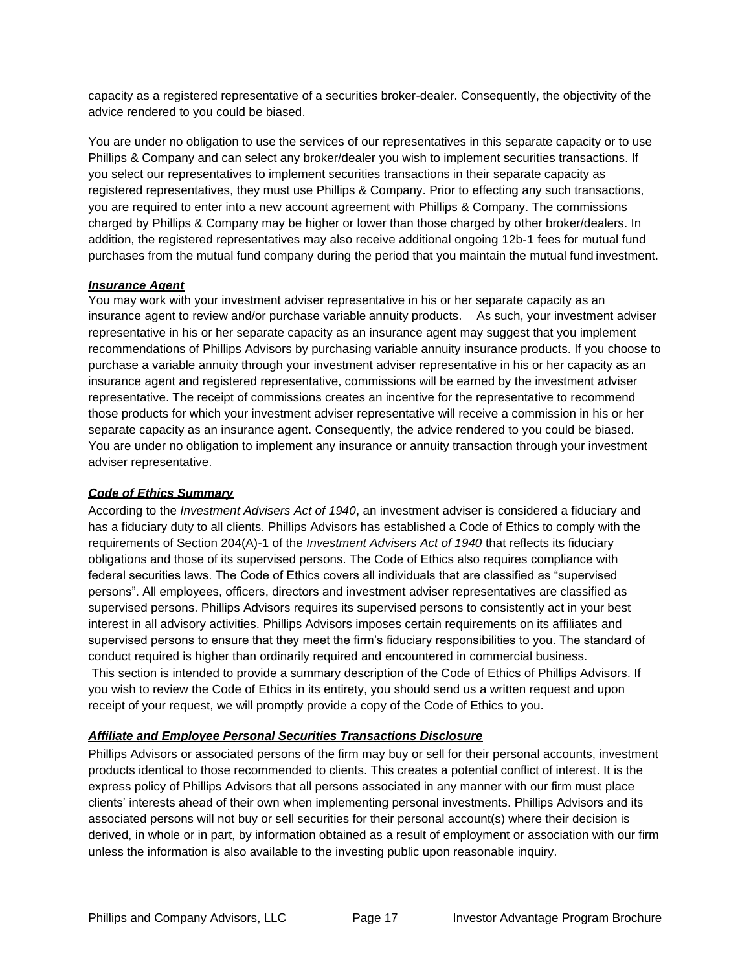capacity as a registered representative of a securities broker-dealer. Consequently, the objectivity of the advice rendered to you could be biased.

You are under no obligation to use the services of our representatives in this separate capacity or to use Phillips & Company and can select any broker/dealer you wish to implement securities transactions. If you select our representatives to implement securities transactions in their separate capacity as registered representatives, they must use Phillips & Company. Prior to effecting any such transactions, you are required to enter into a new account agreement with Phillips & Company. The commissions charged by Phillips & Company may be higher or lower than those charged by other broker/dealers. In addition, the registered representatives may also receive additional ongoing 12b-1 fees for mutual fund purchases from the mutual fund company during the period that you maintain the mutual fund investment.

#### *Insurance Agent*

You may work with your investment adviser representative in his or her separate capacity as an insurance agent to review and/or purchase variable annuity products. As such, your investment adviser representative in his or her separate capacity as an insurance agent may suggest that you implement recommendations of Phillips Advisors by purchasing variable annuity insurance products. If you choose to purchase a variable annuity through your investment adviser representative in his or her capacity as an insurance agent and registered representative, commissions will be earned by the investment adviser representative. The receipt of commissions creates an incentive for the representative to recommend those products for which your investment adviser representative will receive a commission in his or her separate capacity as an insurance agent. Consequently, the advice rendered to you could be biased. You are under no obligation to implement any insurance or annuity transaction through your investment adviser representative.

#### <span id="page-16-0"></span>*Code of Ethics Summary*

According to the *Investment Advisers Act of 1940*, an investment adviser is considered a fiduciary and has a fiduciary duty to all clients. Phillips Advisors has established a Code of Ethics to comply with the requirements of Section 204(A)-1 of the *Investment Advisers Act of 1940* that reflects its fiduciary obligations and those of its supervised persons. The Code of Ethics also requires compliance with federal securities laws. The Code of Ethics covers all individuals that are classified as "supervised persons". All employees, officers, directors and investment adviser representatives are classified as supervised persons. Phillips Advisors requires its supervised persons to consistently act in your best interest in all advisory activities. Phillips Advisors imposes certain requirements on its affiliates and supervised persons to ensure that they meet the firm's fiduciary responsibilities to you. The standard of conduct required is higher than ordinarily required and encountered in commercial business.

This section is intended to provide a summary description of the Code of Ethics of Phillips Advisors. If you wish to review the Code of Ethics in its entirety, you should send us a written request and upon receipt of your request, we will promptly provide a copy of the Code of Ethics to you.

#### <span id="page-16-1"></span>*Affiliate and Employee Personal Securities Transactions Disclosure*

Phillips Advisors or associated persons of the firm may buy or sell for their personal accounts, investment products identical to those recommended to clients. This creates a potential conflict of interest. It is the express policy of Phillips Advisors that all persons associated in any manner with our firm must place clients' interests ahead of their own when implementing personal investments. Phillips Advisors and its associated persons will not buy or sell securities for their personal account(s) where their decision is derived, in whole or in part, by information obtained as a result of employment or association with our firm unless the information is also available to the investing public upon reasonable inquiry.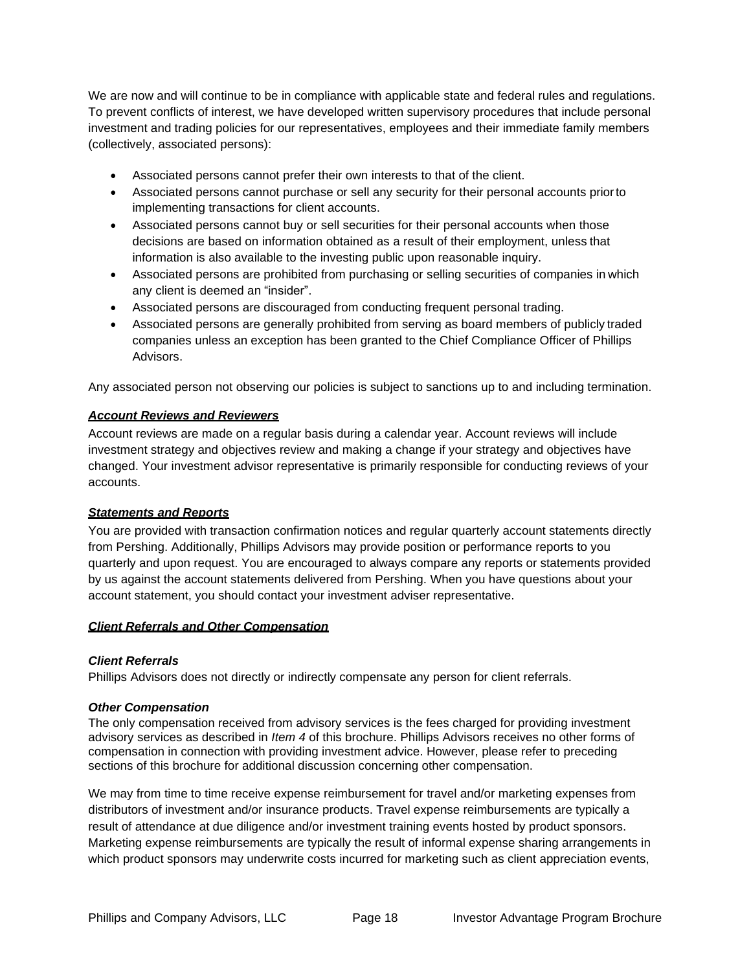We are now and will continue to be in compliance with applicable state and federal rules and regulations. To prevent conflicts of interest, we have developed written supervisory procedures that include personal investment and trading policies for our representatives, employees and their immediate family members (collectively, associated persons):

- Associated persons cannot prefer their own interests to that of the client.
- Associated persons cannot purchase or sell any security for their personal accounts priorto implementing transactions for client accounts.
- Associated persons cannot buy or sell securities for their personal accounts when those decisions are based on information obtained as a result of their employment, unless that information is also available to the investing public upon reasonable inquiry.
- Associated persons are prohibited from purchasing or selling securities of companies in which any client is deemed an "insider".
- Associated persons are discouraged from conducting frequent personal trading.
- Associated persons are generally prohibited from serving as board members of publicly traded companies unless an exception has been granted to the Chief Compliance Officer of Phillips Advisors.

Any associated person not observing our policies is subject to sanctions up to and including termination.

## <span id="page-17-0"></span>*Account Reviews and Reviewers*

Account reviews are made on a regular basis during a calendar year. Account reviews will include investment strategy and objectives review and making a change if your strategy and objectives have changed. Your investment advisor representative is primarily responsible for conducting reviews of your accounts.

## <span id="page-17-1"></span>*Statements and Reports*

You are provided with transaction confirmation notices and regular quarterly account statements directly from Pershing. Additionally, Phillips Advisors may provide position or performance reports to you quarterly and upon request. You are encouraged to always compare any reports or statements provided by us against the account statements delivered from Pershing. When you have questions about your account statement, you should contact your investment adviser representative.

#### <span id="page-17-2"></span>*Client Referrals and Other Compensation*

## *Client Referrals*

Phillips Advisors does not directly or indirectly compensate any person for client referrals.

## *Other Compensation*

The only compensation received from advisory services is the fees charged for providing investment advisory services as described in *Item 4* of this brochure. Phillips Advisors receives no other forms of compensation in connection with providing investment advice. However, please refer to preceding sections of this brochure for additional discussion concerning other compensation.

We may from time to time receive expense reimbursement for travel and/or marketing expenses from distributors of investment and/or insurance products. Travel expense reimbursements are typically a result of attendance at due diligence and/or investment training events hosted by product sponsors. Marketing expense reimbursements are typically the result of informal expense sharing arrangements in which product sponsors may underwrite costs incurred for marketing such as client appreciation events,